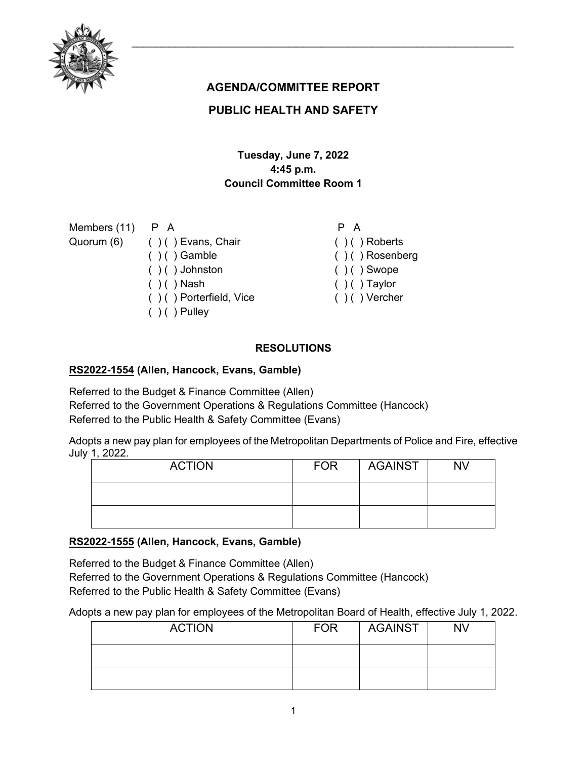# **AGENDA/COMMITTEE REPORT**

## **PUBLIC HEALTH AND SAFETY**

## **Tuesday, June 7, 2022 4:45 p.m. Council Committee Room 1**

Members (11) Quorum (6) P A ( ) ( ) Evans, Chair  $( ) ( )$  Gamble  $( ) ( )$  Johnston  $( )$  ( ) Nash ( ) ( ) Porterfield, Vice

 $( ) ( )$  Pulley

- $( ) ( )$  Roberts
- ( ) ( ) Rosenberg
- $( ) ( )$  Swope

P A

- $( )$   $( )$  Taylor
- $( ) ( )$  Vercher

## **RESOLUTIONS**

### **[RS2022-1554](http://nashville.legistar.com/gateway.aspx?m=l&id=/matter.aspx?key=14588) (Allen, Hancock, Evans, Gamble)**

Referred to the Budget & Finance Committee (Allen) Referred to the Government Operations & Regulations Committee (Hancock) Referred to the Public Health & Safety Committee (Evans)

Adopts a new pay plan for employees of the Metropolitan Departments of Police and Fire, effective July 1, 2022.

| <b>ACTION</b> | <b>FOR</b> | AGAINST | <b>NV</b> |
|---------------|------------|---------|-----------|
|               |            |         |           |
|               |            |         |           |

## **[RS2022-1555](http://nashville.legistar.com/gateway.aspx?m=l&id=/matter.aspx?key=14589) (Allen, Hancock, Evans, Gamble)**

Referred to the Budget & Finance Committee (Allen) Referred to the Government Operations & Regulations Committee (Hancock) Referred to the Public Health & Safety Committee (Evans)

Adopts a new pay plan for employees of the Metropolitan Board of Health, effective July 1, 2022.

| <b>ACTION</b> | <b>FOR</b> | AGAINST | <b>NV</b> |
|---------------|------------|---------|-----------|
|               |            |         |           |
|               |            |         |           |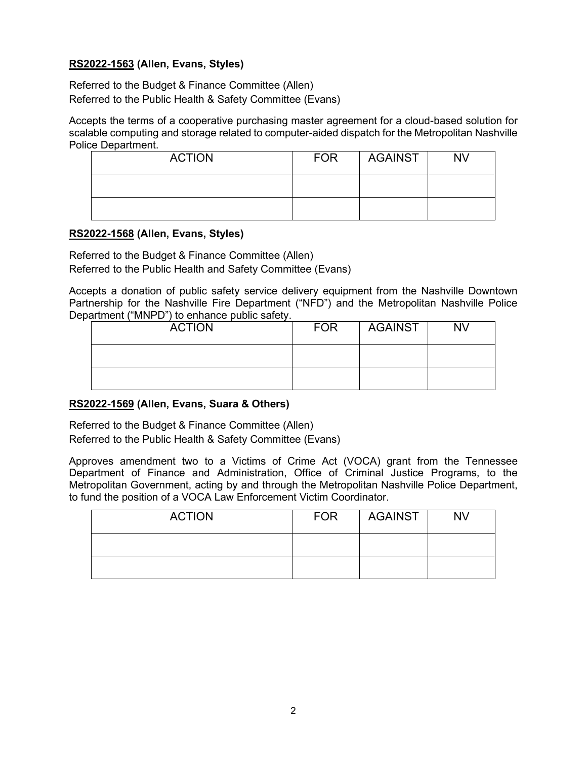### **[RS2022-1563](http://nashville.legistar.com/gateway.aspx?m=l&id=/matter.aspx?key=14600) (Allen, Evans, Styles)**

Referred to the Budget & Finance Committee (Allen) Referred to the Public Health & Safety Committee (Evans)

Accepts the terms of a cooperative purchasing master agreement for a cloud-based solution for scalable computing and storage related to computer-aided dispatch for the Metropolitan Nashville Police Department.

| <b>ACTION</b> | <b>FOR</b> | AGAINST | <b>NV</b> |
|---------------|------------|---------|-----------|
|               |            |         |           |
|               |            |         |           |

#### **[RS2022-1568](http://nashville.legistar.com/gateway.aspx?m=l&id=/matter.aspx?key=14586) (Allen, Evans, Styles)**

Referred to the Budget & Finance Committee (Allen) Referred to the Public Health and Safety Committee (Evans)

Accepts a donation of public safety service delivery equipment from the Nashville Downtown Partnership for the Nashville Fire Department ("NFD") and the Metropolitan Nashville Police Department ("MNPD") to enhance public safety.

| <b>ACTION</b> | <b>FOR</b> | AGAINST | <b>NV</b> |
|---------------|------------|---------|-----------|
|               |            |         |           |
|               |            |         |           |

#### **[RS2022-1569](http://nashville.legistar.com/gateway.aspx?m=l&id=/matter.aspx?key=14595) (Allen, Evans, Suara & Others)**

Referred to the Budget & Finance Committee (Allen) Referred to the Public Health & Safety Committee (Evans)

Approves amendment two to a Victims of Crime Act (VOCA) grant from the Tennessee Department of Finance and Administration, Office of Criminal Justice Programs, to the Metropolitan Government, acting by and through the Metropolitan Nashville Police Department, to fund the position of a VOCA Law Enforcement Victim Coordinator.

| <b>ACTION</b> | <b>FOR</b> | AGAINST | NV |
|---------------|------------|---------|----|
|               |            |         |    |
|               |            |         |    |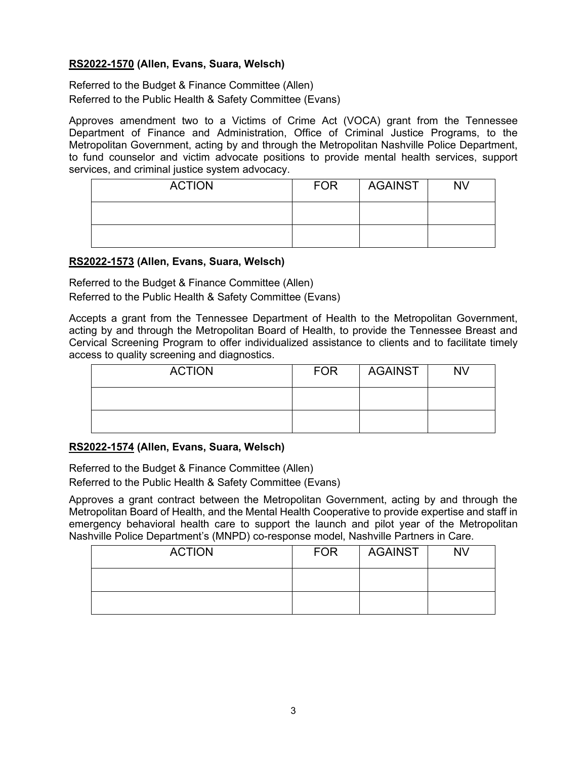### **[RS2022-1570](http://nashville.legistar.com/gateway.aspx?m=l&id=/matter.aspx?key=14596) (Allen, Evans, Suara, Welsch)**

Referred to the Budget & Finance Committee (Allen) Referred to the Public Health & Safety Committee (Evans)

Approves amendment two to a Victims of Crime Act (VOCA) grant from the Tennessee Department of Finance and Administration, Office of Criminal Justice Programs, to the Metropolitan Government, acting by and through the Metropolitan Nashville Police Department, to fund counselor and victim advocate positions to provide mental health services, support services, and criminal justice system advocacy.

| <b>ACTION</b> | <b>FOR</b> | AGAINST | <b>NV</b> |
|---------------|------------|---------|-----------|
|               |            |         |           |
|               |            |         |           |

#### **[RS2022-1573](http://nashville.legistar.com/gateway.aspx?m=l&id=/matter.aspx?key=14591) (Allen, Evans, Suara, Welsch)**

Referred to the Budget & Finance Committee (Allen) Referred to the Public Health & Safety Committee (Evans)

Accepts a grant from the Tennessee Department of Health to the Metropolitan Government, acting by and through the Metropolitan Board of Health, to provide the Tennessee Breast and Cervical Screening Program to offer individualized assistance to clients and to facilitate timely access to quality screening and diagnostics.

| <b>ACTION</b> | <b>FOR</b> | AGAINST | <b>NV</b> |
|---------------|------------|---------|-----------|
|               |            |         |           |
|               |            |         |           |

#### **[RS2022-1574](http://nashville.legistar.com/gateway.aspx?m=l&id=/matter.aspx?key=14552) (Allen, Evans, Suara, Welsch)**

Referred to the Budget & Finance Committee (Allen) Referred to the Public Health & Safety Committee (Evans)

Approves a grant contract between the Metropolitan Government, acting by and through the Metropolitan Board of Health, and the Mental Health Cooperative to provide expertise and staff in emergency behavioral health care to support the launch and pilot year of the Metropolitan Nashville Police Department's (MNPD) co-response model, Nashville Partners in Care.

| <b>ACTION</b> | <b>FOR</b> | AGAINST | <b>NV</b> |
|---------------|------------|---------|-----------|
|               |            |         |           |
|               |            |         |           |